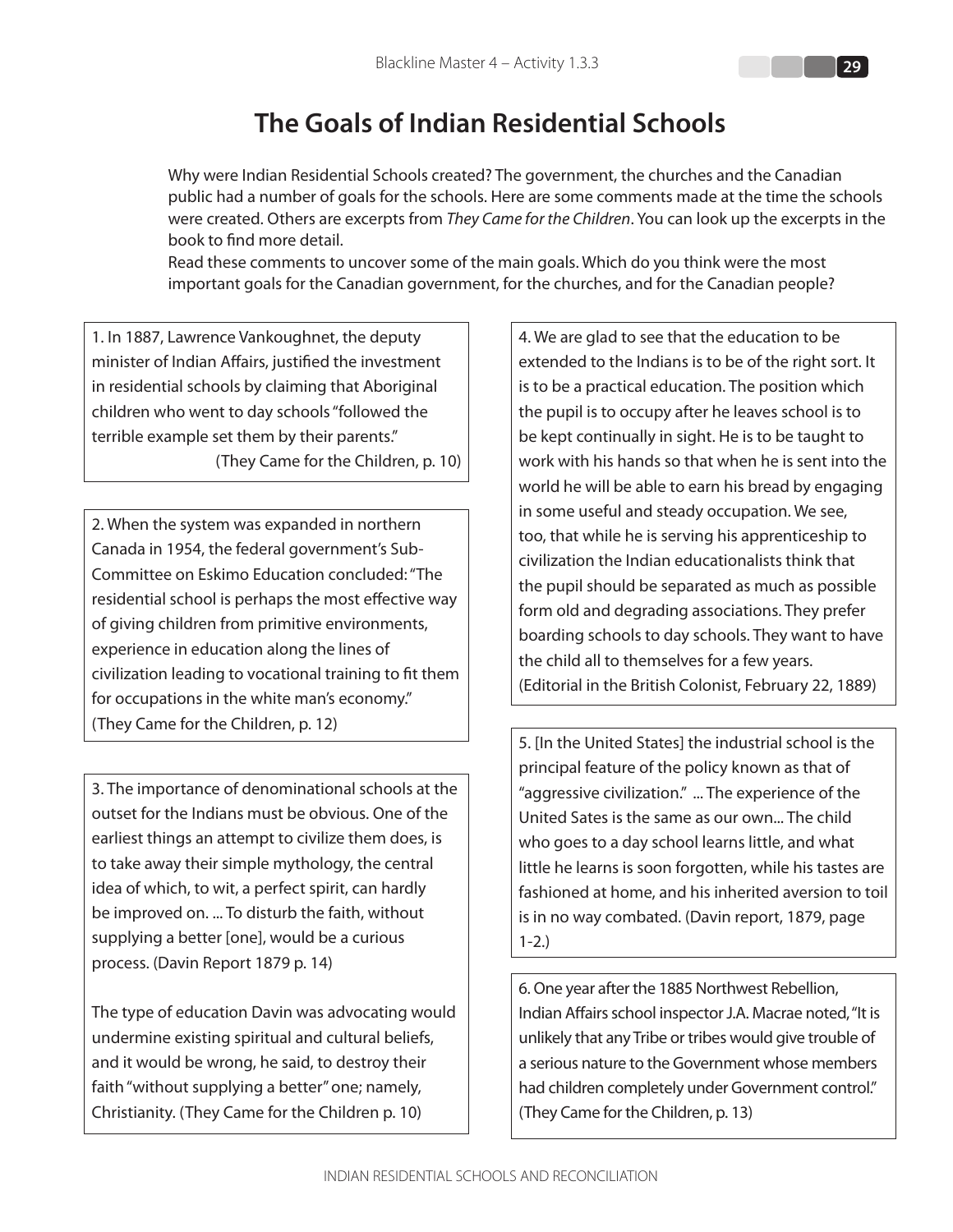## **The Goals of Indian Residential Schools**

Why were Indian Residential Schools created? The government, the churches and the Canadian public had a number of goals for the schools. Here are some comments made at the time the schools were created. Others are excerpts from *They Came for the Children*. You can look up the excerpts in the book to find more detail.

Read these comments to uncover some of the main goals. Which do you think were the most important goals for the Canadian government, for the churches, and for the Canadian people?

1. In 1887, Lawrence Vankoughnet, the deputy minister of Indian Affairs, justified the investment in residential schools by claiming that Aboriginal children who went to day schools "followed the terrible example set them by their parents." (They Came for the Children, p. 10)

2. When the system was expanded in northern Canada in 1954, the federal government's Sub-Committee on Eskimo Education concluded: "The residential school is perhaps the most effective way of giving children from primitive environments, experience in education along the lines of civilization leading to vocational training to fit them for occupations in the white man's economy." (They Came for the Children, p. 12)

3. The importance of denominational schools at the outset for the Indians must be obvious. One of the earliest things an attempt to civilize them does, is to take away their simple mythology, the central idea of which, to wit, a perfect spirit, can hardly be improved on. ... To disturb the faith, without supplying a better [one], would be a curious process. (Davin Report 1879 p. 14)

The type of education Davin was advocating would undermine existing spiritual and cultural beliefs, and it would be wrong, he said, to destroy their faith "without supplying a better" one; namely, Christianity. (They Came for the Children p. 10)

4. We are glad to see that the education to be extended to the Indians is to be of the right sort. It is to be a practical education. The position which the pupil is to occupy after he leaves school is to be kept continually in sight. He is to be taught to work with his hands so that when he is sent into the world he will be able to earn his bread by engaging in some useful and steady occupation. We see, too, that while he is serving his apprenticeship to civilization the Indian educationalists think that the pupil should be separated as much as possible form old and degrading associations. They prefer boarding schools to day schools. They want to have the child all to themselves for a few years. (Editorial in the British Colonist, February 22, 1889)

5. [In the United States] the industrial school is the principal feature of the policy known as that of "aggressive civilization." ... The experience of the United Sates is the same as our own... The child who goes to a day school learns little, and what little he learns is soon forgotten, while his tastes are fashioned at home, and his inherited aversion to toil is in no way combated. (Davin report, 1879, page 1-2.)

6. One year after the 1885 Northwest Rebellion, Indian Affairs school inspector J.A. Macrae noted, "It is unlikely that any Tribe or tribes would give trouble of a serious nature to the Government whose members had children completely under Government control." (They Came for the Children, p. 13)